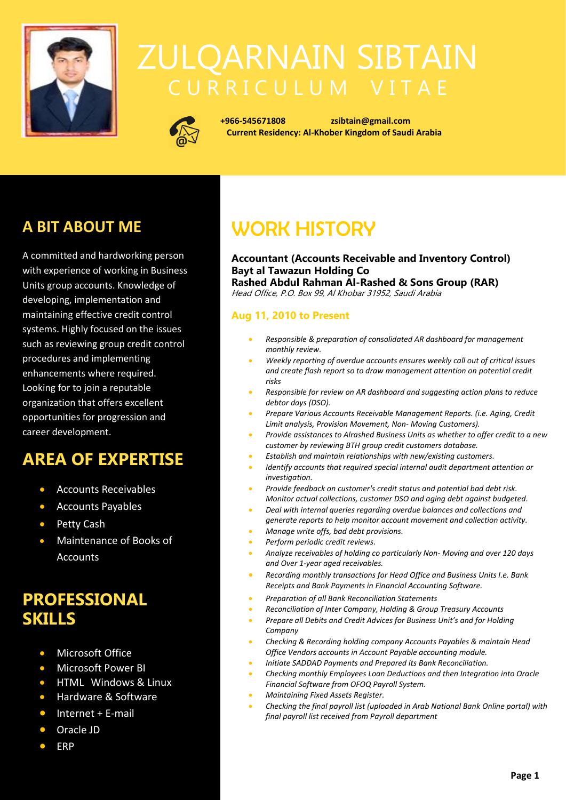

# ZULQARNAIN SIBTAIN



 **+966-545671808 [zsibtain@gmail.com](mailto:zsibtain@gmail.com) Current Residency: Al-Khober Kingdom of Saudi Arabia**

## **A BIT ABOUT ME**

A committed and hardworking person with experience of working in Business Units group accounts. Knowledge of developing, implementation and maintaining effective credit control systems. Highly focused on the issues such as reviewing group credit control procedures and implementing enhancements where required. Looking for to join a reputable organization that offers excellent opportunities for progression and career development.

## **AREA OF EXPERTISE**

- Accounts Receivables
- Accounts Payables
- Petty Cash
- Maintenance of Books of **Accounts**

## **PROFESSIONAL SKILLS**

- Microsoft Office
- Microsoft Power BI
- HTML Windows & Linux
- Hardware & Software
- Internet + E-mail
- Oracle JD
- ERP

# WORK HISTORY

#### **Accountant (Accounts Receivable and Inventory Control) Bayt al Tawazun Holding Co Rashed Abdul Rahman Al-Rashed & Sons Group (RAR)** Head Office, P.O. Box 99, Al Khobar 31952, Saudi Arabia

#### **Aug 11, 2010 to Present**

- *Responsible & preparation of consolidated AR dashboard for management monthly review.*
- *Weekly reporting of overdue accounts ensures weekly call out of critical issues and create flash report so to draw management attention on potential credit risks*
- *Responsible for review on AR dashboard and suggesting action plans to reduce debtor days (DSO).*
- *Prepare Various Accounts Receivable Management Reports. (i.e. Aging, Credit Limit analysis, Provision Movement, Non- Moving Customers).*
- *Provide assistances to Alrashed Business Units as whether to offer credit to a new customer by reviewing BTH group credit customers database.*
- *Establish and maintain relationships with new/existing customers.*
- *Identify accounts that required special internal audit department attention or investigation.*
- *Provide feedback on customer's credit status and potential bad debt risk. Monitor actual collections, customer DSO and aging debt against budgeted.*
- *Deal with internal queries regarding overdue balances and collections and generate reports to help monitor account movement and collection activity.*
- *Manage write offs, bad debt provisions.* • *Perform periodic credit reviews.*
- *Analyze receivables of holding co particularly Non- Moving and over 120 days and Over 1-year aged receivables.*
- *Recording monthly transactions for Head Office and Business Units I.e. Bank Receipts and Bank Payments in Financial Accounting Software.*
- *Preparation of all Bank Reconciliation Statements*
	- *Reconciliation of Inter Company, Holding & Group Treasury Accounts*
- *Prepare all Debits and Credit Advices for Business Unit's and for Holding Company*
- *Checking & Recording holding company Accounts Payables & maintain Head Office Vendors accounts in Account Payable accounting module.*
- *Initiate SADDAD Payments and Prepared its Bank Reconciliation.*
- *Checking monthly Employees Loan Deductions and then Integration into Oracle Financial Software from OFOQ Payroll System.*
- *Maintaining Fixed Assets Register.*
- *Checking the final payroll list (uploaded in Arab National Bank Online portal) with final payroll list received from Payroll department*